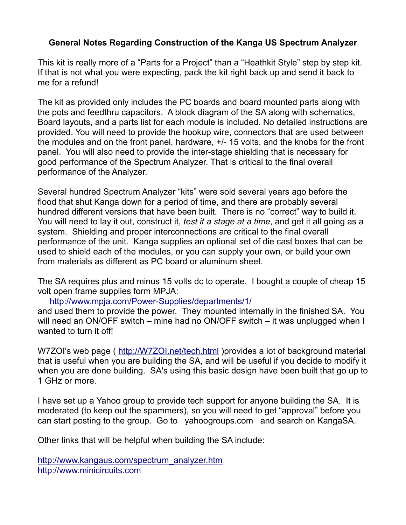## **General Notes Regarding Construction of the Kanga US Spectrum Analyzer**

This kit is really more of a "Parts for a Project" than a "Heathkit Style" step by step kit. If that is not what you were expecting, pack the kit right back up and send it back to me for a refund!

The kit as provided only includes the PC boards and board mounted parts along with the pots and feedthru capacitors. A block diagram of the SA along with schematics, Board layouts, and a parts list for each module is included. No detailed instructions are provided. You will need to provide the hookup wire, connectors that are used between the modules and on the front panel, hardware, +/- 15 volts, and the knobs for the front panel. You will also need to provide the inter-stage shielding that is necessary for good performance of the Spectrum Analyzer. That is critical to the final overall performance of the Analyzer.

Several hundred Spectrum Analyzer "kits" were sold several years ago before the flood that shut Kanga down for a period of time, and there are probably several hundred different versions that have been built. There is no "correct" way to build it. You will need to lay it out, construct it, *test it a stage at a time*, and get it all going as a system. Shielding and proper interconnections are critical to the final overall performance of the unit. Kanga supplies an optional set of die cast boxes that can be used to shield each of the modules, or you can supply your own, or build your own from materials as different as PC board or aluminum sheet.

The SA requires plus and minus 15 volts dc to operate. I bought a couple of cheap 15 volt open frame supplies form MPJA:

<http://www.mpja.com/Power-Supplies/departments/1/>

and used them to provide the power. They mounted internally in the finished SA. You will need an ON/OFF switch – mine had no ON/OFF switch – it was unplugged when I wanted to turn it off!

W7ZOI's web page (<http://W7ZOI.net/tech.html>)provides a lot of background material that is useful when you are building the SA, and will be useful if you decide to modify it when you are done building. SA's using this basic design have been built that go up to 1 GHz or more.

I have set up a Yahoo group to provide tech support for anyone building the SA. It is moderated (to keep out the spammers), so you will need to get "approval" before you can start posting to the group. Go to yahoogroups.com and search on KangaSA.

Other links that will be helpful when building the SA include:

[http://www.kangaus.com/spectrum\\_analyzer.htm](http://www.kangaus.com/spectrum_analyzer.htm) [http://www.minicircuits.com](http://www.minicircuits.com/)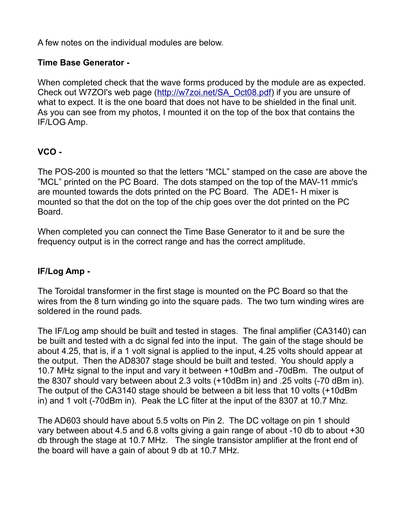A few notes on the individual modules are below.

### **Time Base Generator -**

When completed check that the wave forms produced by the module are as expected. Check out W7ZOI's web page [\(http://w7zoi.net/SA\\_Oct08.pdf\)](http://w7zoi.net/SA_Oct08.pdf) if you are unsure of what to expect. It is the one board that does not have to be shielded in the final unit. As you can see from my photos, I mounted it on the top of the box that contains the IF/LOG Amp.

# **VCO -**

The POS-200 is mounted so that the letters "MCL" stamped on the case are above the "MCL" printed on the PC Board. The dots stamped on the top of the MAV-11 mmic's are mounted towards the dots printed on the PC Board. The ADE1- H mixer is mounted so that the dot on the top of the chip goes over the dot printed on the PC Board.

When completed you can connect the Time Base Generator to it and be sure the frequency output is in the correct range and has the correct amplitude.

### **IF/Log Amp -**

The Toroidal transformer in the first stage is mounted on the PC Board so that the wires from the 8 turn winding go into the square pads. The two turn winding wires are soldered in the round pads.

The IF/Log amp should be built and tested in stages. The final amplifier (CA3140) can be built and tested with a dc signal fed into the input. The gain of the stage should be about 4.25, that is, if a 1 volt signal is applied to the input, 4.25 volts should appear at the output. Then the AD8307 stage should be built and tested. You should apply a 10.7 MHz signal to the input and vary it between +10dBm and -70dBm. The output of the 8307 should vary between about 2.3 volts (+10dBm in) and .25 volts (-70 dBm in). The output of the CA3140 stage should be between a bit less that 10 volts (+10dBm in) and 1 volt (-70dBm in). Peak the LC filter at the input of the 8307 at 10.7 Mhz.

The AD603 should have about 5.5 volts on Pin 2. The DC voltage on pin 1 should vary between about 4.5 and 6.8 volts giving a gain range of about -10 db to about +30 db through the stage at 10.7 MHz. The single transistor amplifier at the front end of the board will have a gain of about 9 db at 10.7 MHz.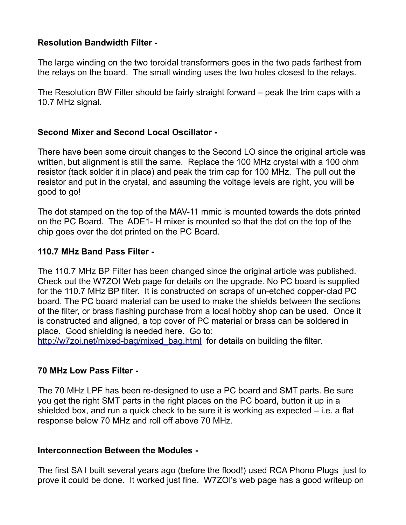### **Resolution Bandwidth Filter -**

The large winding on the two toroidal transformers goes in the two pads farthest from the relays on the board. The small winding uses the two holes closest to the relays.

The Resolution BW Filter should be fairly straight forward – peak the trim caps with a 10.7 MHz signal.

### **Second Mixer and Second Local Oscillator -**

There have been some circuit changes to the Second LO since the original article was written, but alignment is still the same. Replace the 100 MHz crystal with a 100 ohm resistor (tack solder it in place) and peak the trim cap for 100 MHz. The pull out the resistor and put in the crystal, and assuming the voltage levels are right, you will be good to go!

The dot stamped on the top of the MAV-11 mmic is mounted towards the dots printed on the PC Board. The ADE1- H mixer is mounted so that the dot on the top of the chip goes over the dot printed on the PC Board.

### **110.7 MHz Band Pass Filter -**

The 110.7 MHz BP Filter has been changed since the original article was published. Check out the W7ZOI Web page for details on the upgrade. No PC board is supplied for the 110.7 MHz BP filter. It is constructed on scraps of un-etched copper-clad PC board. The PC board material can be used to make the shields between the sections of the filter, or brass flashing purchase from a local hobby shop can be used. Once it is constructed and aligned, a top cover of PC material or brass can be soldered in place. Good shielding is needed here. Go to:

http://w7zoi.net/mixed-bag/mixed bag.html for details on building the filter.

### **70 MHz Low Pass Filter -**

The 70 MHz LPF has been re-designed to use a PC board and SMT parts. Be sure you get the right SMT parts in the right places on the PC board, button it up in a shielded box, and run a quick check to be sure it is working as expected – i.e. a flat response below 70 MHz and roll off above 70 MHz.

#### **Interconnection Between the Modules -**

The first SA I built several years ago (before the flood!) used RCA Phono Plugs just to prove it could be done. It worked just fine. W7ZOI's web page has a good writeup on